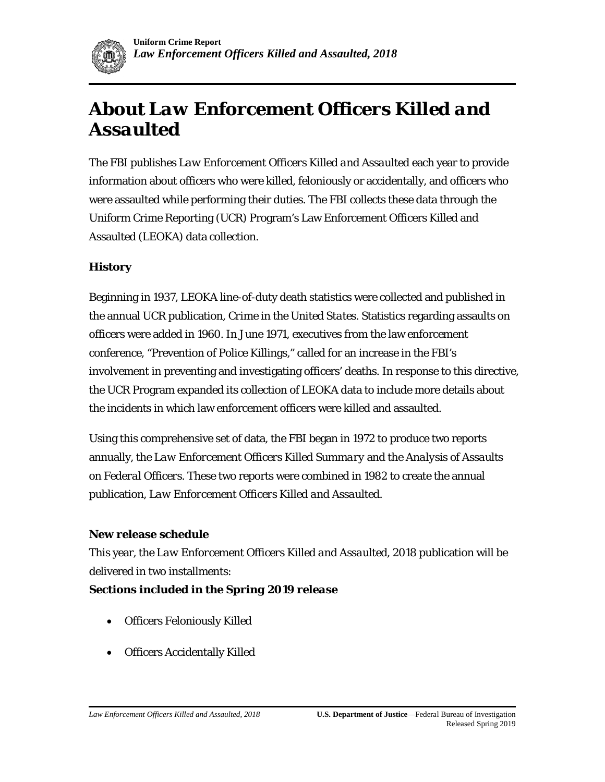# **About** *Law Enforcement Officers Killed and Assaulted*

The FBI publishes *Law Enforcement Officers Killed and Assaulted* each year to provide information about officers who were killed, feloniously or accidentally, and officers who were assaulted while performing their duties. The FBI collects these data through the Uniform Crime Reporting (UCR) Program's Law Enforcement Officers Killed and Assaulted (LEOKA) data collection.

#### **History**

Beginning in 1937, LEOKA line-of-duty death statistics were collected and published in the annual UCR publication, *Crime in the United States*. Statistics regarding assaults on officers were added in 1960. In June 1971, executives from the law enforcement conference, "Prevention of Police Killings," called for an increase in the FBI's involvement in preventing and investigating officers' deaths. In response to this directive, the UCR Program expanded its collection of LEOKA data to include more details about the incidents in which law enforcement officers were killed and assaulted.

Using this comprehensive set of data, the FBI began in 1972 to produce two reports annually, the *Law Enforcement Officers Killed Summary* and the *Analysis of Assaults on Federal Officers*. These two reports were combined in 1982 to create the annual publication, *Law Enforcement Officers Killed and Assaulted*.

#### **New release schedule**

This year, the *Law Enforcement Officers Killed and Assaulted, 2018* publication will be delivered in two installments:

#### *Sections included in the Spring 2019 release*

- Officers Feloniously Killed
- Officers Accidentally Killed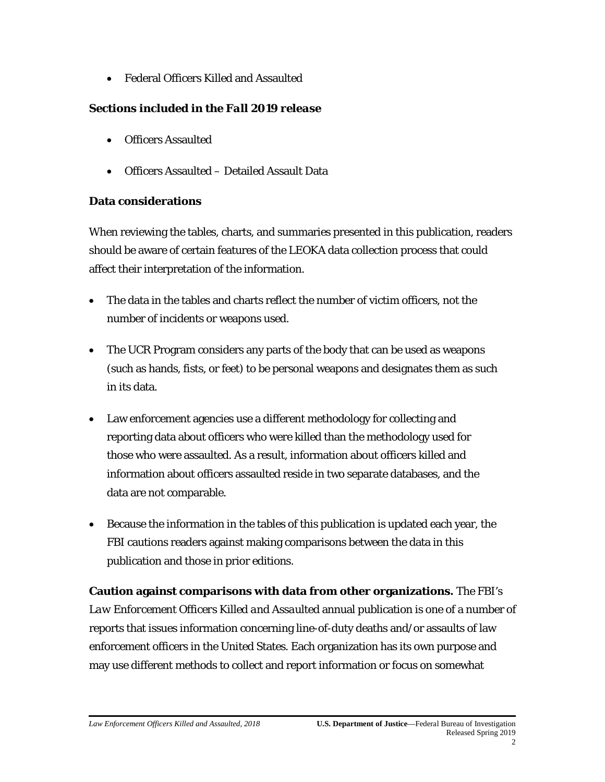• Federal Officers Killed and Assaulted

## *Sections included in the Fall 2019 release*

- Officers Assaulted
- Officers Assaulted Detailed Assault Data

## **Data considerations**

When reviewing the tables, charts, and summaries presented in this publication, readers should be aware of certain features of the LEOKA data collection process that could affect their interpretation of the information.

- The data in the tables and charts reflect the number of victim officers, not the number of incidents or weapons used.
- The UCR Program considers any parts of the body that can be used as weapons (such as hands, fists, or feet) to be personal weapons and designates them as such in its data.
- Law enforcement agencies use a different methodology for collecting and reporting data about officers who were killed than the methodology used for those who were assaulted. As a result, information about officers killed and information about officers assaulted reside in two separate databases, and the data are not comparable.
- Because the information in the tables of this publication is updated each year, the FBI cautions readers against making comparisons between the data in this publication and those in prior editions.

**Caution against comparisons with data from other organizations.** The FBI's *Law Enforcement Officers Killed and Assaulted* annual publication is one of a number of reports that issues information concerning line-of-duty deaths and/or assaults of law enforcement officers in the United States. Each organization has its own purpose and may use different methods to collect and report information or focus on somewhat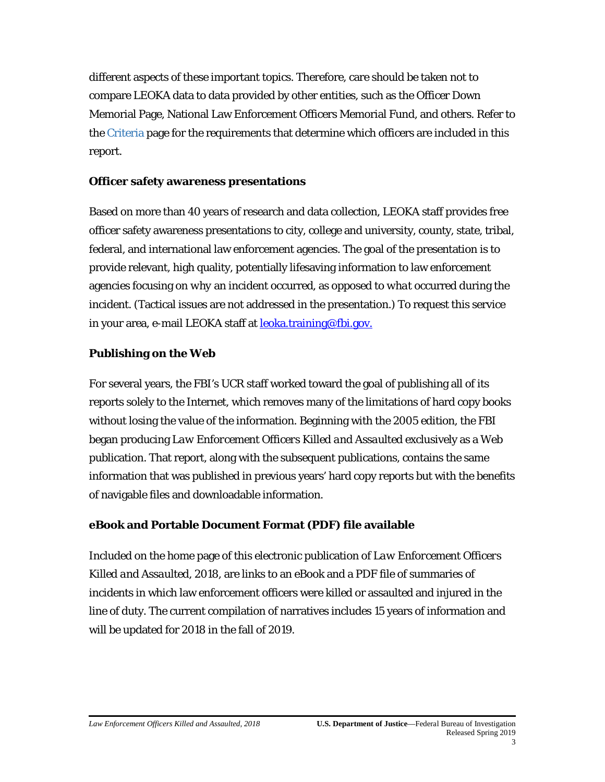different aspects of these important topics. Therefore, care should be taken not to compare LEOKA data to data provided by other entities, such as the Officer Down Memorial Page, National Law Enforcement Officers Memorial Fund, and others. Refer to the Criteria page for the requirements that determine which officers are included in this report.

#### **Officer safety awareness presentations**

Based on more than 40 years of research and data collection, LEOKA staff provides free officer safety awareness presentations to city, college and university, county, state, tribal, federal, and international law enforcement agencies. The goal of the presentation is to provide relevant, high quality, potentially lifesaving information to law enforcement agencies focusing on *why* an incident occurred, as opposed to *what* occurred during the incident. (Tactical issues are not addressed in the presentation.) To request this service in your area, e-mail LEOKA staff at **leoka.training@fbi.gov.** 

### **Publishing on the Web**

For several years, the FBI's UCR staff worked toward the goal of publishing all of its reports solely to the Internet, which removes many of the limitations of hard copy books without losing the value of the information. Beginning with the 2005 edition, the FBI began producing *Law Enforcement Officers Killed and Assaulted* exclusively as a Web publication. That report, along with the subsequent publications, contains the same information that was published in previous years' hard copy reports but with the benefits of navigable files and downloadable information.

### **eBook and Portable Document Format (PDF) file available**

Included on the home page of this electronic publication of *Law Enforcement Officers Killed and Assaulted*, *2018*, are links to an eBook and a PDF file of summaries of incidents in which law enforcement officers were killed or assaulted and injured in the line of duty. The current compilation of narratives includes 15 years of information and will be updated for 2018 in the fall of 2019.